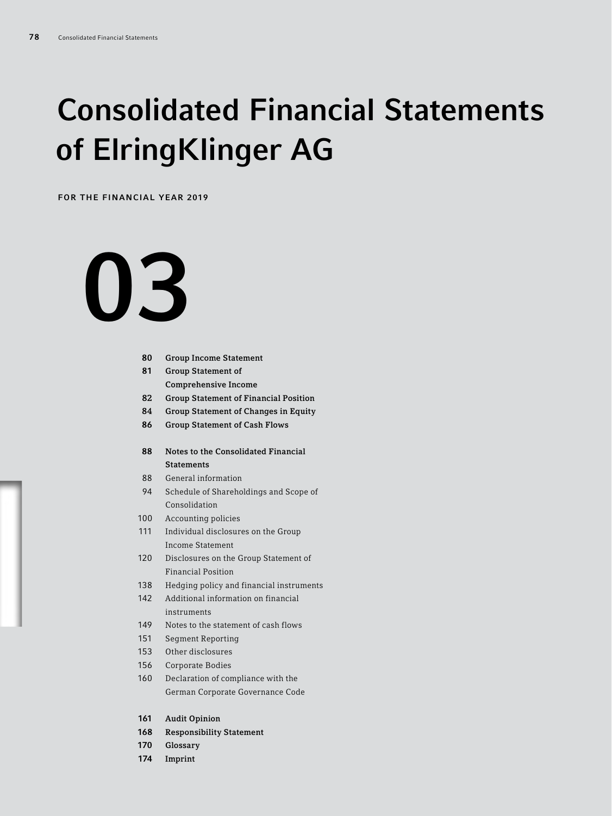## Consolidated Financial Statements of ElringKlinger AG

FOR THE FINANCIAL YEAR 2019

# 

- Group Income Statement
- Group Statement of Comprehensive Income
- 82 Group Statement of Financial Position
- 84 Group Statement of Changes in Equity
- Group Statement of Cash Flows
- Notes to the Consolidated Financial **Statements**
- General information
- Schedule of Shareholdings and Scope of Consolidation
- Accounting policies
- Individual disclosures on the Group Income Statement
- Disclosures on the Group Statement of Financial Position
- Hedging policy and financial instruments
- Additional information on financial instruments
- Notes to the statement of cash flows
- Segment Reporting
- Other disclosures
- Corporate Bodies
- Declaration of compliance with the German Corporate Governance Code
- Audit Opinion
- Responsibility Statement
- Glossary
- Imprint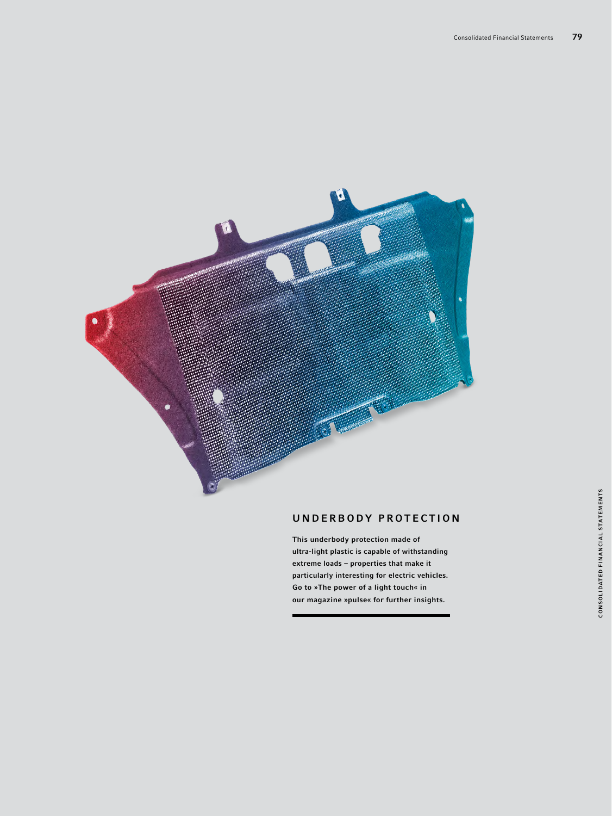

#### UNDERBODY PROTECTION

This underbody protection made of ultra-light plastic is capable of withstanding extreme loads – properties that make it particularly interesting for electric vehicles. Go to »The power of a light touch« in our magazine »pulse« for further insights.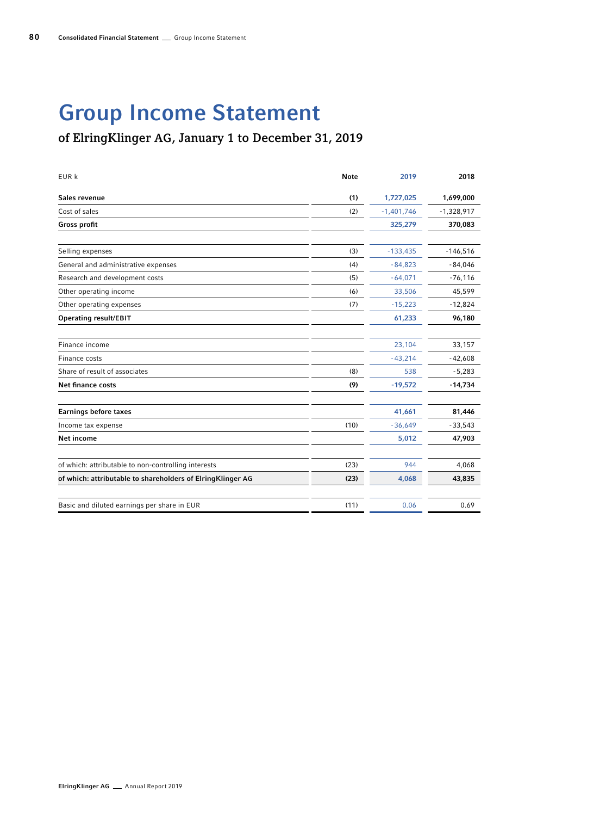## Group Income Statement

#### of ElringKlinger AG, January 1 to December 31, 2019

| EUR k                                                      | <b>Note</b> | 2019         | 2018         |
|------------------------------------------------------------|-------------|--------------|--------------|
| Sales revenue                                              | (1)         | 1,727,025    | 1,699,000    |
| Cost of sales                                              | (2)         | $-1,401,746$ | $-1,328,917$ |
| Gross profit                                               |             | 325,279      | 370,083      |
| Selling expenses                                           | (3)         | $-133,435$   | $-146,516$   |
| General and administrative expenses                        | (4)         | $-84,823$    | $-84,046$    |
| Research and development costs                             | (5)         | $-64,071$    | $-76,116$    |
| Other operating income                                     | (6)         | 33,506       | 45,599       |
| Other operating expenses                                   | (7)         | $-15,223$    | $-12,824$    |
| Operating result/EBIT                                      |             | 61,233       | 96,180       |
| Finance income                                             |             | 23,104       | 33,157       |
| Finance costs                                              |             | $-43,214$    | $-42,608$    |
| Share of result of associates                              | (8)         | 538          | $-5,283$     |
| Net finance costs                                          | (9)         | $-19,572$    | $-14,734$    |
| <b>Earnings before taxes</b>                               |             | 41,661       | 81,446       |
| Income tax expense                                         | (10)        | $-36,649$    | $-33,543$    |
| Net income                                                 |             | 5,012        | 47,903       |
| of which: attributable to non-controlling interests        | (23)        | 944          | 4,068        |
| of which: attributable to shareholders of ElringKlinger AG | (23)        | 4,068        | 43,835       |
| Basic and diluted earnings per share in EUR                | (11)        | 0.06         | 0.69         |
|                                                            |             |              |              |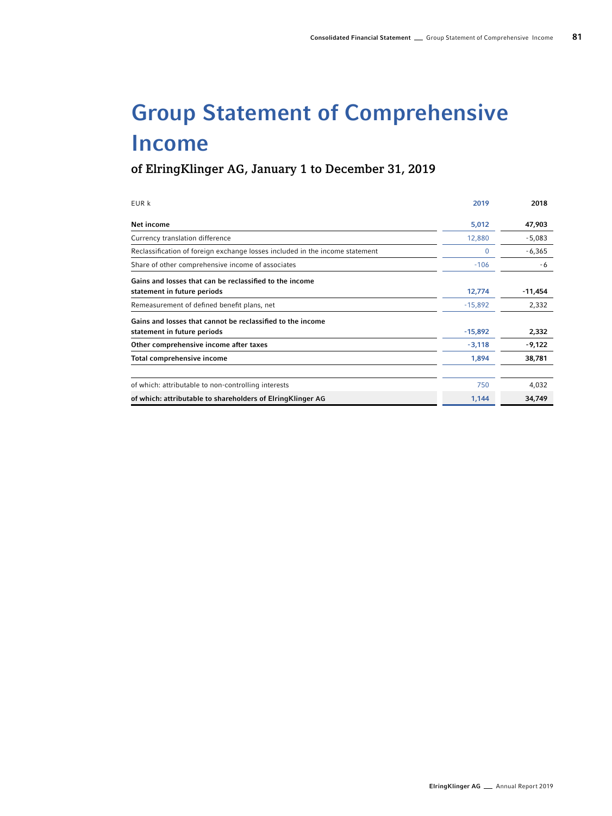## Group Statement of Comprehensive Income

of ElringKlinger AG, January 1 to December 31, 2019

| EUR k                                                                                     | 2019      | 2018      |
|-------------------------------------------------------------------------------------------|-----------|-----------|
| Net income                                                                                | 5,012     | 47,903    |
| Currency translation difference                                                           | 12,880    | $-5,083$  |
| Reclassification of foreign exchange losses included in the income statement              | 0         | $-6,365$  |
| Share of other comprehensive income of associates                                         | $-106$    | -6        |
| Gains and losses that can be reclassified to the income<br>statement in future periods    | 12,774    | $-11,454$ |
| Remeasurement of defined benefit plans, net                                               | $-15,892$ | 2,332     |
| Gains and losses that cannot be reclassified to the income<br>statement in future periods | $-15,892$ | 2,332     |
| Other comprehensive income after taxes                                                    | $-3,118$  | -9,122    |
| Total comprehensive income                                                                | 1,894     | 38,781    |
| of which: attributable to non-controlling interests                                       | 750       | 4,032     |
| of which: attributable to shareholders of ElringKlinger AG                                | 1,144     | 34,749    |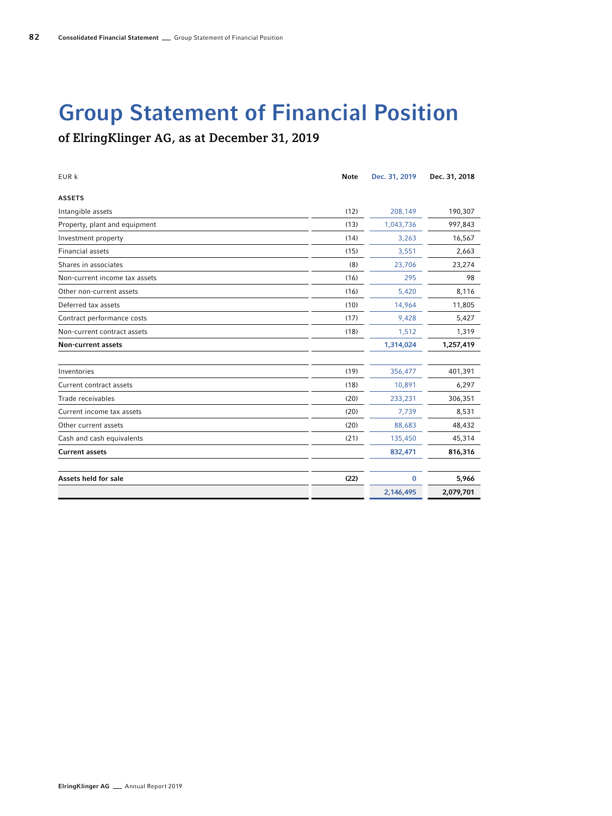## Group Statement of Financial Position

of ElringKlinger AG, as at December 31, 2019

| EUR k                         | <b>Note</b> | Dec. 31, 2019 | Dec. 31, 2018 |
|-------------------------------|-------------|---------------|---------------|
| <b>ASSETS</b>                 |             |               |               |
| Intangible assets             | (12)        | 208,149       | 190,307       |
| Property, plant and equipment | (13)        | 1,043,736     | 997,843       |
| Investment property           | (14)        | 3,263         | 16,567        |
| <b>Financial assets</b>       | (15)        | 3,551         | 2,663         |
| Shares in associates          | (8)         | 23,706        | 23,274        |
| Non-current income tax assets | (16)        | 295           | 98            |
| Other non-current assets      | (16)        | 5,420         | 8,116         |
| Deferred tax assets           | (10)        | 14,964        | 11,805        |
| Contract performance costs    | (17)        | 9,428         | 5,427         |
| Non-current contract assets   | (18)        | 1,512         | 1,319         |
| <b>Non-current assets</b>     |             | 1,314,024     | 1,257,419     |
| Inventories                   | (19)        | 356,477       | 401,391       |
| Current contract assets       | (18)        | 10,891        | 6,297         |
| Trade receivables             | (20)        | 233,231       | 306,351       |
| Current income tax assets     | (20)        | 7,739         | 8,531         |
| Other current assets          | (20)        | 88,683        | 48,432        |
| Cash and cash equivalents     | (21)        | 135,450       | 45,314        |
| <b>Current assets</b>         |             | 832,471       | 816,316       |
| Assets held for sale          | (22)        | 0             | 5,966         |
|                               |             | 2,146,495     | 2,079,701     |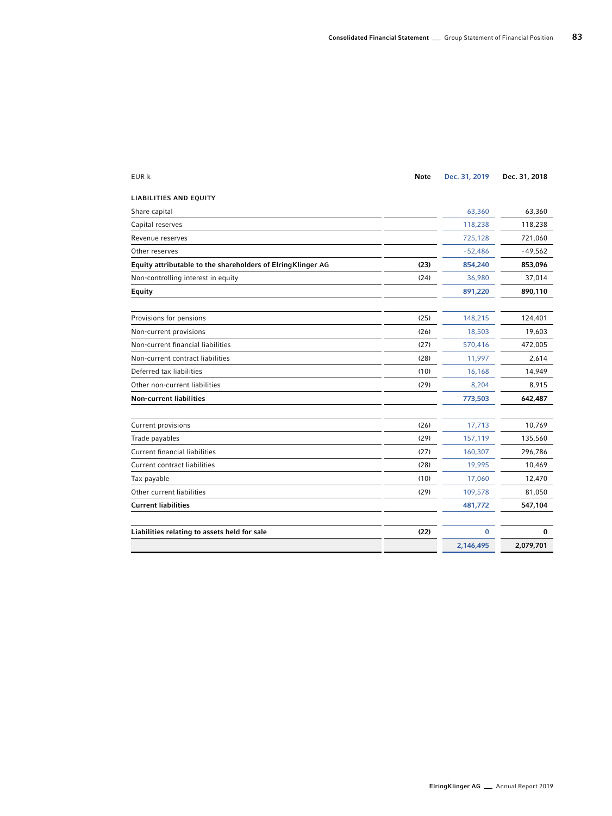| EUR k                                                       | <b>Note</b> | Dec. 31, 2019 | Dec. 31, 2018 |
|-------------------------------------------------------------|-------------|---------------|---------------|
| <b>LIABILITIES AND EQUITY</b>                               |             |               |               |
| Share capital                                               |             | 63,360        | 63,360        |
| Capital reserves                                            |             | 118,238       | 118,238       |
| Revenue reserves                                            |             | 725,128       | 721,060       |
| Other reserves                                              |             | $-52,486$     | $-49,562$     |
| Equity attributable to the shareholders of ElringKlinger AG | (23)        | 854,240       | 853,096       |
| Non-controlling interest in equity                          | (24)        | 36,980        | 37,014        |
| Equity                                                      |             | 891,220       | 890,110       |
| Provisions for pensions                                     | (25)        | 148,215       | 124,401       |
| Non-current provisions                                      | (26)        | 18,503        | 19,603        |
| Non-current financial liabilities                           | (27)        | 570,416       | 472,005       |
| Non-current contract liabilities                            | (28)        | 11,997        | 2,614         |
| Deferred tax liabilities                                    | (10)        | 16,168        | 14,949        |
| Other non-current liabilities                               | (29)        | 8,204         | 8,915         |
| <b>Non-current liabilities</b>                              |             | 773,503       | 642,487       |
| Current provisions                                          | (26)        | 17,713        | 10,769        |
| Trade payables                                              | (29)        | 157,119       | 135,560       |
| <b>Current financial liabilities</b>                        | (27)        | 160,307       | 296,786       |
| Current contract liabilities                                | (28)        | 19,995        | 10,469        |
| Tax payable                                                 | (10)        | 17,060        | 12,470        |
| Other current liabilities                                   | (29)        | 109,578       | 81,050        |
| <b>Current liabilities</b>                                  |             | 481,772       | 547,104       |
| Liabilities relating to assets held for sale                | (22)        | $\bf{0}$      | 0             |
|                                                             |             | 2,146,495     | 2,079,701     |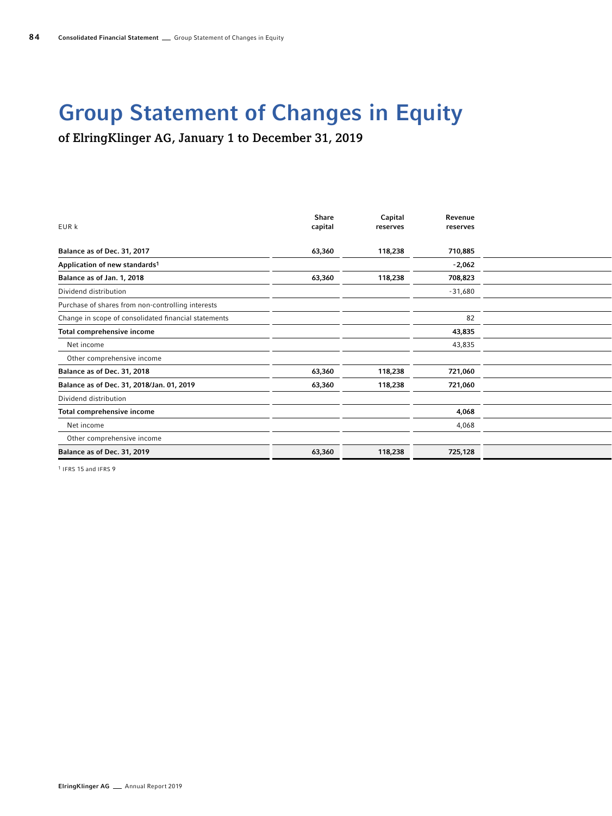## Group Statement of Changes in Equity

of ElringKlinger AG, January 1 to December 31, 2019

| EUR k                                                | Share<br>capital | Capital<br>reserves | Revenue<br>reserves |  |
|------------------------------------------------------|------------------|---------------------|---------------------|--|
|                                                      |                  |                     |                     |  |
| Balance as of Dec. 31, 2017                          | 63,360           | 118,238             | 710,885             |  |
| Application of new standards1                        |                  |                     | $-2,062$            |  |
| Balance as of Jan. 1, 2018                           | 63,360           | 118,238             | 708,823             |  |
| Dividend distribution                                |                  |                     | $-31,680$           |  |
| Purchase of shares from non-controlling interests    |                  |                     |                     |  |
| Change in scope of consolidated financial statements |                  |                     | 82                  |  |
| Total comprehensive income                           |                  |                     | 43,835              |  |
| Net income                                           |                  |                     | 43,835              |  |
| Other comprehensive income                           |                  |                     |                     |  |
| Balance as of Dec. 31, 2018                          | 63,360           | 118,238             | 721,060             |  |
| Balance as of Dec. 31, 2018/Jan. 01, 2019            | 63,360           | 118,238             | 721,060             |  |
| Dividend distribution                                |                  |                     |                     |  |
| Total comprehensive income                           |                  |                     | 4,068               |  |
| Net income                                           |                  |                     | 4,068               |  |
| Other comprehensive income                           |                  |                     |                     |  |
| Balance as of Dec. 31, 2019                          | 63,360           | 118,238             | 725,128             |  |
|                                                      |                  |                     |                     |  |

1 IFRS 15 and IFRS 9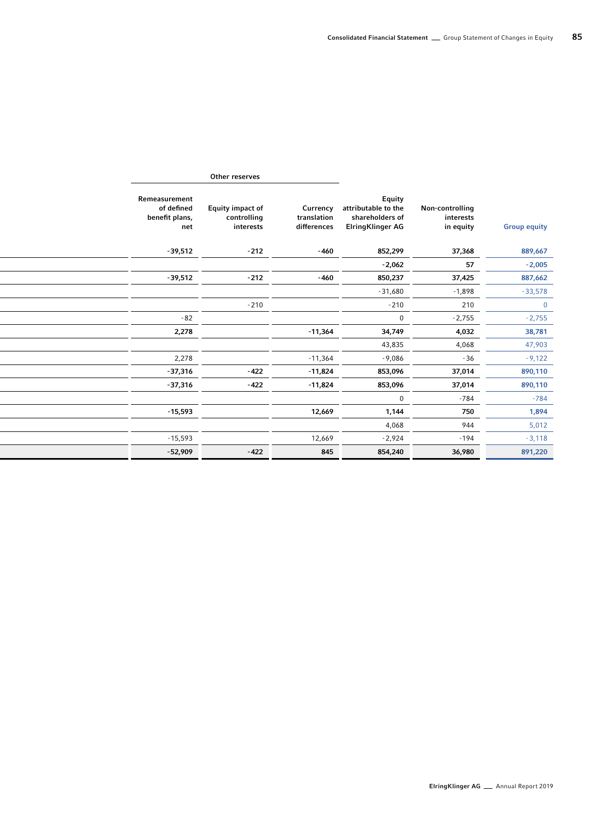| <b>Group equity</b> | Non-controlling<br>interests<br>in equity | <b>Equity</b><br>attributable to the<br>shareholders of<br><b>ElringKlinger AG</b> | Currency<br>translation<br>differences | <b>Equity impact of</b><br>controlling<br>interests | Remeasurement<br>of defined<br>benefit plans,<br>net |
|---------------------|-------------------------------------------|------------------------------------------------------------------------------------|----------------------------------------|-----------------------------------------------------|------------------------------------------------------|
| 889,667             | 37,368                                    | 852,299                                                                            | $-460$                                 | $-212$                                              | $-39,512$                                            |
| $-2,005$            | 57                                        | $-2,062$                                                                           |                                        |                                                     |                                                      |
| 887,662             | 37,425                                    | 850,237                                                                            | $-460$                                 | $-212$                                              | $-39,512$                                            |
| $-33,578$           | $-1,898$                                  | $-31,680$                                                                          |                                        |                                                     |                                                      |
| $\overline{0}$      | 210                                       | $-210$                                                                             |                                        | $-210$                                              |                                                      |
| $-2,755$            | $-2,755$                                  | $\overline{0}$                                                                     |                                        |                                                     | $-82$                                                |
| 38,781              | 4,032                                     | 34,749                                                                             | $-11,364$                              |                                                     | 2,278                                                |
| 47,903              | 4,068                                     | 43,835                                                                             |                                        |                                                     |                                                      |
| $-9,122$            | $-36$                                     | $-9,086$                                                                           | $-11,364$                              |                                                     | 2,278                                                |
| 890,110             | 37,014                                    | 853,096                                                                            | $-11,824$                              | $-422$                                              | $-37,316$                                            |
| 890,110             | 37,014                                    | 853,096                                                                            | -11,824                                | $-422$                                              | -37,316                                              |
| $-784$              | $-784$                                    | $\overline{0}$                                                                     |                                        |                                                     |                                                      |
| 1,894               | 750                                       | 1,144                                                                              | 12,669                                 |                                                     | $-15,593$                                            |
| 5,012               | 944                                       | 4,068                                                                              |                                        |                                                     |                                                      |
| $-3,118$            | $-194$                                    | $-2,924$                                                                           | 12,669                                 |                                                     | $-15,593$                                            |
| 891,220             | 36,980                                    | 854,240                                                                            | 845                                    | $-422$                                              | $-52,909$                                            |
|                     |                                           |                                                                                    |                                        |                                                     |                                                      |

Other reserves